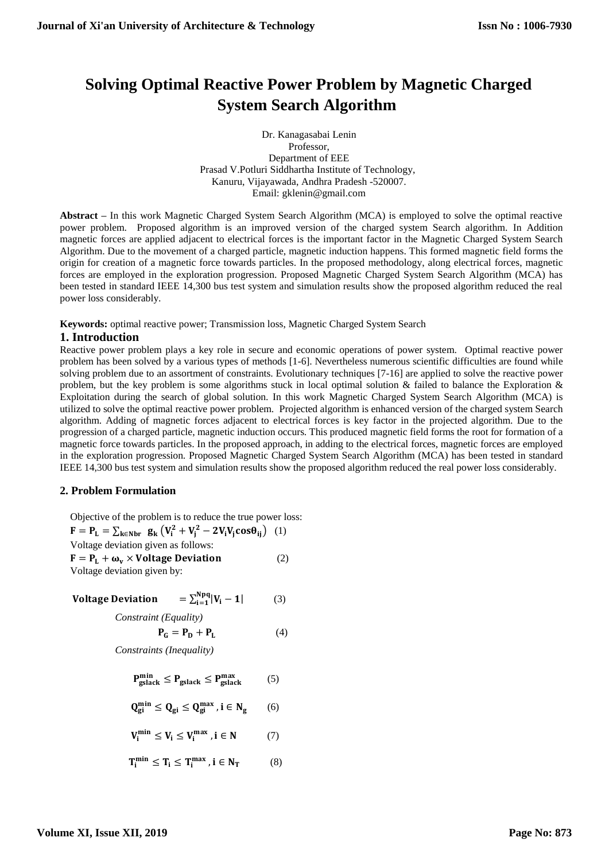# **Solving Optimal Reactive Power Problem by Magnetic Charged System Search Algorithm**

Dr. Kanagasabai Lenin Professor, Department of EEE Prasad V.Potluri Siddhartha Institute of Technology, Kanuru, Vijayawada, Andhra Pradesh -520007. Email: [gklenin@gmail.com](mailto:gklenin@gmail.com) 

**Abstract –** In this work Magnetic Charged System Search Algorithm (MCA) is employed to solve the optimal reactive power problem. Proposed algorithm is an improved version of the charged system Search algorithm. In Addition magnetic forces are applied adjacent to electrical forces is the important factor in the Magnetic Charged System Search Algorithm. Due to the movement of a charged particle, magnetic induction happens. This formed magnetic field forms the origin for creation of a magnetic force towards particles. In the proposed methodology, along electrical forces, magnetic forces are employed in the exploration progression. Proposed Magnetic Charged System Search Algorithm (MCA) has been tested in standard IEEE 14,300 bus test system and simulation results show the proposed algorithm reduced the real power loss considerably.

**Keywords:** optimal reactive power; Transmission loss, Magnetic Charged System Search

## **1. Introduction**

Reactive power problem plays a key role in secure and economic operations of power system. Optimal reactive power problem has been solved by a various types of methods [1-6]. Nevertheless numerous scientific difficulties are found while solving problem due to an assortment of constraints. Evolutionary techniques [7-16] are applied to solve the reactive power problem, but the key problem is some algorithms stuck in local optimal solution & failed to balance the Exploration & Exploitation during the search of global solution. In this work Magnetic Charged System Search Algorithm (MCA) is utilized to solve the optimal reactive power problem. Projected algorithm is enhanced version of the charged system Search algorithm. Adding of magnetic forces adjacent to electrical forces is key factor in the projected algorithm. Due to the progression of a charged particle, magnetic induction occurs. This produced magnetic field forms the root for formation of a magnetic force towards particles. In the proposed approach, in adding to the electrical forces, magnetic forces are employed in the exploration progression. Proposed Magnetic Charged System Search Algorithm (MCA) has been tested in standard IEEE 14,300 bus test system and simulation results show the proposed algorithm reduced the real power loss considerably.

## **2. Problem Formulation**

Objective of the problem is to reduce the true power loss:

$$
\mathbf{F} = \mathbf{P_L} = \sum_{\mathbf{k} \in \mathbf{Nbr}} \mathbf{g_k} \left( \mathbf{V_i^2} + \mathbf{V_j^2} - 2\mathbf{V_i} \mathbf{V_j} \cos \theta_{ij} \right) \tag{1}
$$
  
Voltage deviation given as follows:

 $\mathbf{F} = \mathbf{P}_L + \mathbf{\omega}_v \times \text{Voltage Deviation}$  (2) Voltage deviation given by:

$$
Voltage Deviation = \sum_{i=1}^{Npq} |V_i - 1| \tag{3}
$$

*Constraint (Equality)*

$$
\mathbf{P}_{\mathbf{G}} = \mathbf{P}_{\mathbf{D}} + \mathbf{P}_{\mathbf{L}} \tag{4}
$$

*Constraints (Inequality)*

$$
P_{\text{gslack}}^{\text{min}} \le P_{\text{gslack}} \le P_{\text{gslack}}^{\text{max}} \tag{5}
$$

$$
Q_{gi}^{min} \leq Q_{gi} \leq Q_{gi}^{max} \text{ , } i \in N_g \qquad (6)
$$

$$
V_i^{min} \leq V_i \leq V_i^{max}\,, i \in N \qquad \quad (7)
$$

$$
T_i^{min} \leq T_i \leq T_i^{max}\text{ , } i \in N_T \qquad \quad \ \ (8)
$$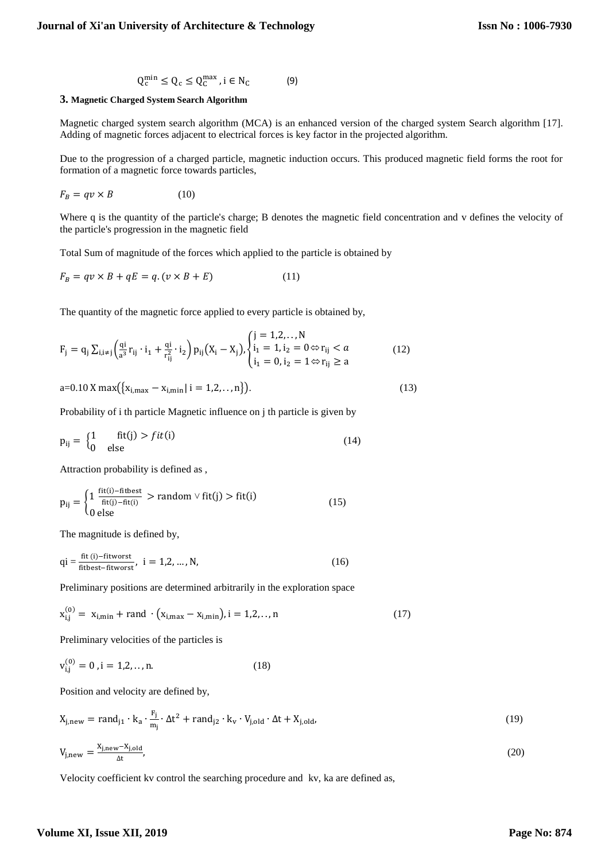$$
Q_c^{\min} \le Q_c \le Q_c^{\max}, i \in N_c \tag{9}
$$

#### **3. Magnetic Charged System Search Algorithm**

Magnetic charged system search algorithm (MCA) is an enhanced version of the charged system Search algorithm [17]. Adding of magnetic forces adjacent to electrical forces is key factor in the projected algorithm.

Due to the progression of a charged particle, magnetic induction occurs. This produced magnetic field forms the root for formation of a magnetic force towards particles,

$$
F_B = qv \times B \tag{10}
$$

Where q is the quantity of the particle's charge; B denotes the magnetic field concentration and v defines the velocity of the particle's progression in the magnetic field

Total Sum of magnitude of the forces which applied to the particle is obtained by

$$
F_B = qv \times B + qE = q.(v \times B + E)
$$
 (11)

The quantity of the magnetic force applied to every particle is obtained by,

$$
F_{j} = q_{j} \sum_{i,i \neq j} \left( \frac{qi}{a^{3}} r_{ij} \cdot i_{1} + \frac{qi}{r_{ij}^{2}} \cdot i_{2} \right) p_{ij} (X_{i} - X_{j}), \begin{cases} j = 1, 2, ..., N \\ i_{1} = 1, i_{2} = 0 \Leftrightarrow r_{ij} < a \\ i_{1} = 0, i_{2} = 1 \Leftrightarrow r_{ij} \ge a \end{cases}
$$
(12)

$$
a=0.10 X max({xi,max - xi,min | i = 1,2,...,n}).
$$
\n(13)

Probability of i th particle Magnetic influence on j th particle is given by

$$
p_{ij} = \begin{cases} 1 & \text{fit}(j) > fit(i) \\ 0 & \text{else} \end{cases}
$$
 (14)

Attraction probability is defined as ,

$$
p_{ij} = \begin{cases} 1 & \frac{fit(i) - fitbest}{fit(i) - fit(i)} > random \lor fit(j) > fit(i) \\ 0 & \text{else} \end{cases}
$$
(15)

The magnitude is defined by,

$$
qi = \frac{fit(i) - fitworst}{fitbest - fitworst}, \quad i = 1, 2, ..., N,
$$
\n(16)

Preliminary positions are determined arbitrarily in the exploration space

$$
x_{i,j}^{(0)} = x_{i,min} + rand \cdot (x_{i,max} - x_{i,min}), i = 1,2,...,n
$$
 (17)

Preliminary velocities of the particles is

$$
v_{i,j}^{(0)} = 0, i = 1,2,...,n.
$$
 (18)

Position and velocity are defined by,

$$
X_{j,new} = rand_{j1} \cdot k_a \cdot \frac{F_j}{m_j} \cdot \Delta t^2 + rand_{j2} \cdot k_v \cdot V_{j,old} \cdot \Delta t + X_{j,old},
$$
  
\n
$$
V_{j,new} = \frac{X_{j,new} - X_{j,old}}{\Delta t},
$$
\n(19)

Velocity coefficient kv control the searching procedure and kv, ka are defined as,

## **Volume XI, Issue XII, 2019**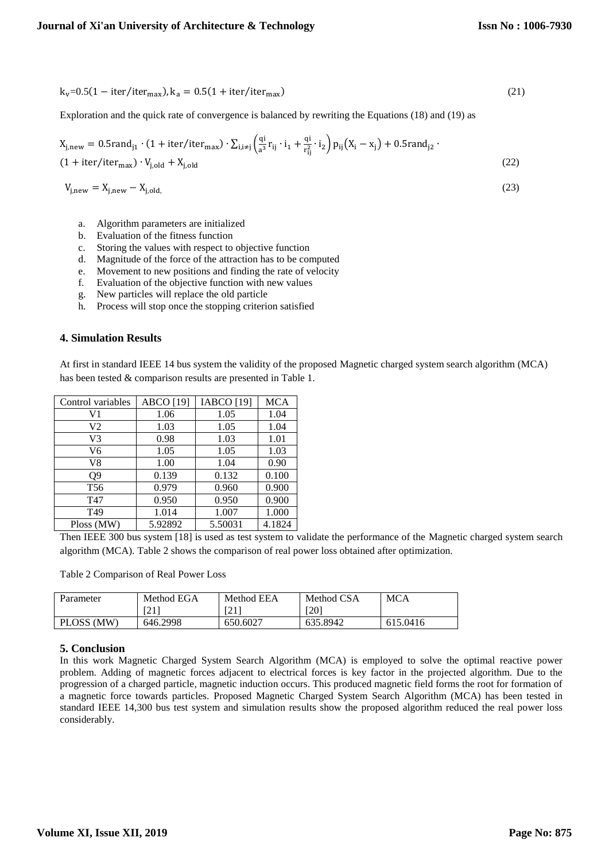$$
k_v = 0.5(1 - iter/iter_{max}), k_a = 0.5(1 + iter/iter_{max})
$$
\n(21)

Exploration and the quick rate of convergence is balanced by rewriting the Equations (18) and (19) as

$$
X_{j,\text{new}} = 0.5 \text{rand}_{j1} \cdot (1 + \text{iter/iter}_{\text{max}}) \cdot \sum_{i,i \neq j} \left( \frac{qi}{a^3} r_{ij} \cdot i_1 + \frac{qi}{r_{ij}^2} \cdot i_2 \right) p_{ij} (X_i - x_j) + 0.5 \text{rand}_{j2} \cdot (1 + \text{iter/iter}_{\text{max}}) \cdot V_{j,\text{old}} + X_{j,\text{old}} \tag{22}
$$

$$
V_{j,new} = X_{j,new} - X_{j,old.}
$$
 (23)

- a. Algorithm parameters are initialized
- b. Evaluation of the fitness function
- c. Storing the values with respect to objective function
- d. Magnitude of the force of the attraction has to be computed
- e. Movement to new positions and finding the rate of velocity
- f. Evaluation of the objective function with new values
- g. New particles will replace the old particle
- h. Process will stop once the stopping criterion satisfied

## **4. Simulation Results**

At first in standard IEEE 14 bus system the validity of the proposed Magnetic charged system search algorithm (MCA) has been tested & comparison results are presented in Table 1.

| Control variables | <b>ABCO</b> [19] | <b>IABCO</b> [19] | <b>MCA</b> |
|-------------------|------------------|-------------------|------------|
| V1                | 1.06             | 1.05              | 1.04       |
| V2                | 1.03             | 1.05              | 1.04       |
| V3                | 0.98             | 1.03              | 1.01       |
| V6                | 1.05             | 1.05              | 1.03       |
| V8                | 1.00             | 1.04              | 0.90       |
| 09                | 0.139            | 0.132             | 0.100      |
| T <sub>56</sub>   | 0.979            | 0.960             | 0.900      |
| T47               | 0.950            | 0.950             | 0.900      |
| T <sub>49</sub>   | 1.014            | 1.007             | 1.000      |
| Ploss (MW)        | 5.92892          | 5.50031           | 4.1824     |

Then IEEE 300 bus system [18] is used as test system to validate the performance of the Magnetic charged system search algorithm (MCA). Table 2 shows the comparison of real power loss obtained after optimization.

Table 2 Comparison of Real Power Loss

| Parameter  | Method EGA | Method EEA | Method CSA       | MCA      |
|------------|------------|------------|------------------|----------|
|            | [21]       | $\sim$ 1   | T20 <sup>-</sup> |          |
| PLOSS (MW) | 646.2998   | 650.6027   | 635.8942         | 615.0416 |

## **5. Conclusion**

In this work Magnetic Charged System Search Algorithm (MCA) is employed to solve the optimal reactive power problem. Adding of magnetic forces adjacent to electrical forces is key factor in the projected algorithm. Due to the progression of a charged particle, magnetic induction occurs. This produced magnetic field forms the root for formation of a magnetic force towards particles. Proposed Magnetic Charged System Search Algorithm (MCA) has been tested in standard IEEE 14,300 bus test system and simulation results show the proposed algorithm reduced the real power loss considerably.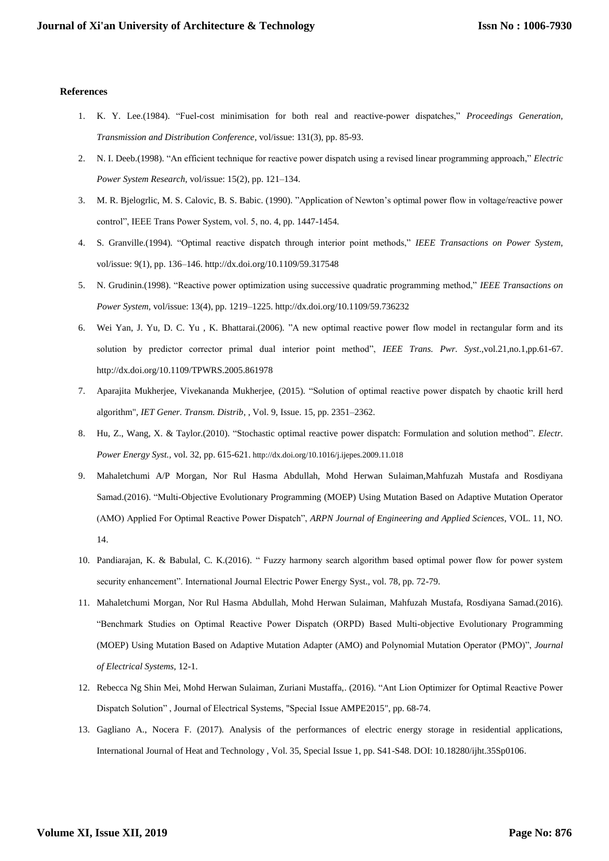#### **References**

- 1. K. Y. Lee.(1984). "Fuel-cost minimisation for both real and reactive-power dispatches," *Proceedings Generation, Transmission and Distribution Conference*, vol/issue: 131(3), pp. 85-93.
- 2. N. I. Deeb.(1998). "An efficient technique for reactive power dispatch using a revised linear programming approach," *Electric Power System Research*, vol/issue: 15(2), pp. 121–134.
- 3. M. R. Bjelogrlic, M. S. Calovic, B. S. Babic. (1990). "Application of Newton's optimal power flow in voltage/reactive power control", IEEE Trans Power System, vol. 5, no. 4, pp. 1447-1454.
- 4. S. Granville.(1994). "Optimal reactive dispatch through interior point methods," *IEEE Transactions on Power System*, vol/issue: 9(1), pp. 136–146. http://dx.doi.org/10.1109/59.317548
- 5. N. Grudinin.(1998). "Reactive power optimization using successive quadratic programming method," *IEEE Transactions on Power System*, vol/issue: 13(4), pp. 1219–1225. http://dx.doi.org/10.1109/59.736232
- 6. Wei Yan, J. Yu, D. C. Yu , K. Bhattarai.(2006). "A new optimal reactive power flow model in rectangular form and its solution by predictor corrector primal dual interior point method", *IEEE Trans. Pwr. Syst*.,vol.21,no.1,pp.61-67. http://dx.doi.org/10.1109/TPWRS.2005.861978
- 7. Aparajita Mukherjee, Vivekananda Mukherjee, (2015). "Solution of optimal reactive power dispatch by chaotic krill herd algorithm", *IET Gener. Transm. Distrib*, , Vol. 9, Issue. 15, pp. 2351–2362.
- 8. Hu, Z., Wang, X. & Taylor.(2010). "Stochastic optimal reactive power dispatch: Formulation and solution method". *Electr. Power Energy Syst.,* vol. 32, pp. 615-621. http://dx.doi.org/10.1016/j.ijepes.2009.11.018
- 9. Mahaletchumi A/P Morgan, Nor Rul Hasma Abdullah, Mohd Herwan Sulaiman,Mahfuzah Mustafa and Rosdiyana Samad.(2016). "Multi-Objective Evolutionary Programming (MOEP) Using Mutation Based on Adaptive Mutation Operator (AMO) Applied For Optimal Reactive Power Dispatch", *ARPN Journal of Engineering and Applied Sciences*, VOL. 11, NO. 14.
- 10. Pandiarajan, K. & Babulal, C. K.(2016). " Fuzzy harmony search algorithm based optimal power flow for power system security enhancement". International Journal Electric Power Energy Syst., vol. 78, pp. 72-79.
- 11. Mahaletchumi Morgan, Nor Rul Hasma Abdullah, Mohd Herwan Sulaiman, Mahfuzah Mustafa, Rosdiyana Samad.(2016). "Benchmark Studies on Optimal Reactive Power Dispatch (ORPD) Based Multi-objective Evolutionary Programming (MOEP) Using Mutation Based on Adaptive Mutation Adapter (AMO) and Polynomial Mutation Operator (PMO)", *Journal of Electrical Systems*, 12-1.
- 12. Rebecca Ng Shin Mei, Mohd Herwan Sulaiman, Zuriani Mustaffa,. (2016). "Ant Lion Optimizer for Optimal Reactive Power Dispatch Solution" , Journal of Electrical Systems, "Special Issue AMPE2015", pp. 68-74.
- 13. Gagliano A., Nocera F. (2017). Analysis of the performances of electric energy storage in residential applications, International Journal of Heat and Technology , Vol. 35, Special Issue 1, pp. S41-S48. DOI: 10.18280/ijht.35Sp0106.